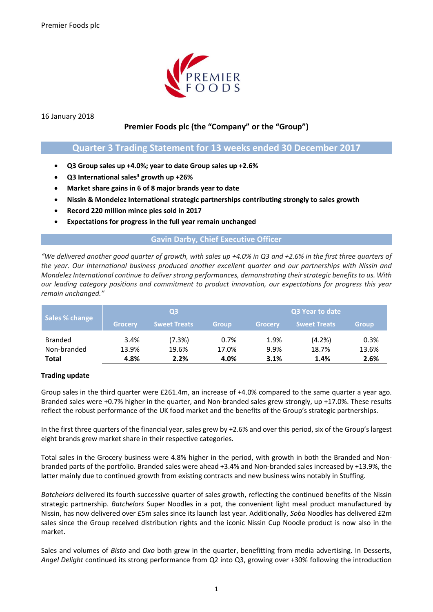

16 January 2018

# **Premier Foods plc (the "Company" or the "Group")**

# **Quarter 3 Trading Statement for 13 weeks ended 30 December 2017**

- **Q3 Group sales up +4.0%; year to date Group sales up +2.6%**
- **Q3 International sales<sup>3</sup> growth up +26%**
- **Market share gains in 6 of 8 major brands year to date**
- **Nissin & Mondelez International strategic partnerships contributing strongly to sales growth**
- **Record 220 million mince pies sold in 2017**
- **Expectations for progress in the full year remain unchanged**

## **Gavin Darby, Chief Executive Officer**

*"We delivered another good quarter of growth, with sales up +4.0% in Q3 and +2.6% in the first three quarters of the year. Our International business produced another excellent quarter and our partnerships with Nissin and Mondelez International continue to deliverstrong performances, demonstrating their strategic benefits to us. With our leading category positions and commitment to product innovation, our expectations for progress this year remain unchanged."*

| Sales % change | Q3             |                     |              | <b>Q3 Year to date</b> ' |                     |              |
|----------------|----------------|---------------------|--------------|--------------------------|---------------------|--------------|
|                | <b>Grocery</b> | <b>Sweet Treats</b> | <b>Group</b> | Grocery                  | <b>Sweet Treats</b> | <b>Group</b> |
| <b>Branded</b> | 3.4%           | (7.3%)              | 0.7%         | 1.9%                     | (4.2%)              | 0.3%         |
| Non-branded    | 13.9%          | 19.6%               | 17.0%        | 9.9%                     | 18.7%               | 13.6%        |
| Total          | 4.8%           | 2.2%                | 4.0%         | 3.1%                     | 1.4%                | 2.6%         |

# **Trading update**

Group sales in the third quarter were £261.4m, an increase of +4.0% compared to the same quarter a year ago. Branded sales were +0.7% higher in the quarter, and Non-branded sales grew strongly, up +17.0%. These results reflect the robust performance of the UK food market and the benefits of the Group's strategic partnerships.

In the first three quarters of the financial year, sales grew by +2.6% and over this period, six of the Group's largest eight brands grew market share in their respective categories.

Total sales in the Grocery business were 4.8% higher in the period, with growth in both the Branded and Nonbranded parts of the portfolio. Branded sales were ahead +3.4% and Non-branded sales increased by +13.9%, the latter mainly due to continued growth from existing contracts and new business wins notably in Stuffing.

*Batchelors* delivered its fourth successive quarter of sales growth, reflecting the continued benefits of the Nissin strategic partnership. *Batchelors* Super Noodles in a pot, the convenient light meal product manufactured by Nissin, has now delivered over £5m sales since its launch last year. Additionally, *Soba* Noodles has delivered £2m sales since the Group received distribution rights and the iconic Nissin Cup Noodle product is now also in the market.

Sales and volumes of *Bisto* and *Oxo* both grew in the quarter, benefitting from media advertising. In Desserts, *Angel Delight* continued its strong performance from Q2 into Q3, growing over +30% following the introduction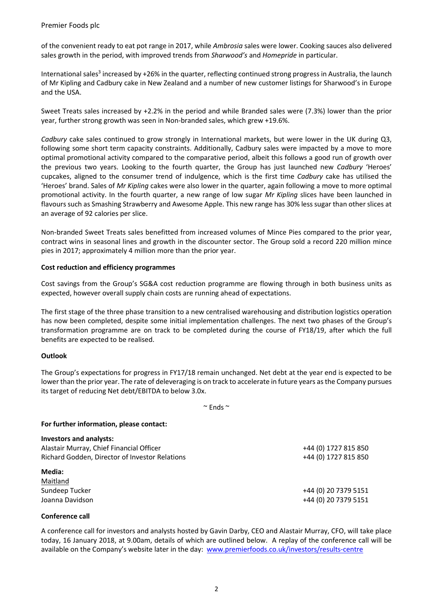Premier Foods plc

of the convenient ready to eat pot range in 2017, while *Ambrosia* sales were lower. Cooking sauces also delivered sales growth in the period, with improved trends from *Sharwood's* and *Homepride* in particular.

International sales<sup>3</sup> increased by +26% in the quarter, reflecting continued strong progress in Australia, the launch of Mr Kipling and Cadbury cake in New Zealand and a number of new customer listings for Sharwood's in Europe and the USA.

Sweet Treats sales increased by +2.2% in the period and while Branded sales were (7.3%) lower than the prior year, further strong growth was seen in Non-branded sales, which grew +19.6%.

*Cadbury* cake sales continued to grow strongly in International markets, but were lower in the UK during Q3, following some short term capacity constraints. Additionally, Cadbury sales were impacted by a move to more optimal promotional activity compared to the comparative period, albeit this follows a good run of growth over the previous two years. Looking to the fourth quarter, the Group has just launched new *Cadbury* 'Heroes' cupcakes, aligned to the consumer trend of indulgence, which is the first time *Cadbury* cake has utilised the 'Heroes' brand. Sales of *Mr Kipling* cakes were also lower in the quarter, again following a move to more optimal promotional activity. In the fourth quarter, a new range of low sugar *Mr Kipling* slices have been launched in flavours such as Smashing Strawberry and Awesome Apple. This new range has 30% less sugar than other slices at an average of 92 calories per slice.

Non-branded Sweet Treats sales benefitted from increased volumes of Mince Pies compared to the prior year, contract wins in seasonal lines and growth in the discounter sector. The Group sold a record 220 million mince pies in 2017; approximately 4 million more than the prior year.

### **Cost reduction and efficiency programmes**

Cost savings from the Group's SG&A cost reduction programme are flowing through in both business units as expected, however overall supply chain costs are running ahead of expectations.

The first stage of the three phase transition to a new centralised warehousing and distribution logistics operation has now been completed, despite some initial implementation challenges. The next two phases of the Group's transformation programme are on track to be completed during the course of FY18/19, after which the full benefits are expected to be realised.

## **Outlook**

The Group's expectations for progress in FY17/18 remain unchanged. Net debt at the year end is expected to be lower than the prior year. The rate of deleveraging is on track to accelerate in future years asthe Company pursues its target of reducing Net debt/EBITDA to below 3.0x.

 $\sim$  Ends  $\sim$ 

#### **For further information, please contact:**

| <b>Investors and analysts:</b>                 |                      |
|------------------------------------------------|----------------------|
| Alastair Murray, Chief Financial Officer       | +44 (0) 1727 815 850 |
| Richard Godden, Director of Investor Relations | +44 (0) 1727 815 850 |
| Media:                                         |                      |
| Maitland                                       |                      |
| Sundeep Tucker                                 | +44 (0) 20 7379 5151 |
| Joanna Davidson                                | +44 (0) 20 7379 5151 |

#### **Conference call**

A conference call for investors and analysts hosted by Gavin Darby, CEO and Alastair Murray, CFO, will take place today, 16 January 2018, at 9.00am, details of which are outlined below. A replay of the conference call will be available on the Company's website later in the day: [www.premierfoods.co.uk/investors/results-centre](http://www.premierfoods.co.uk/investors/results-centre)